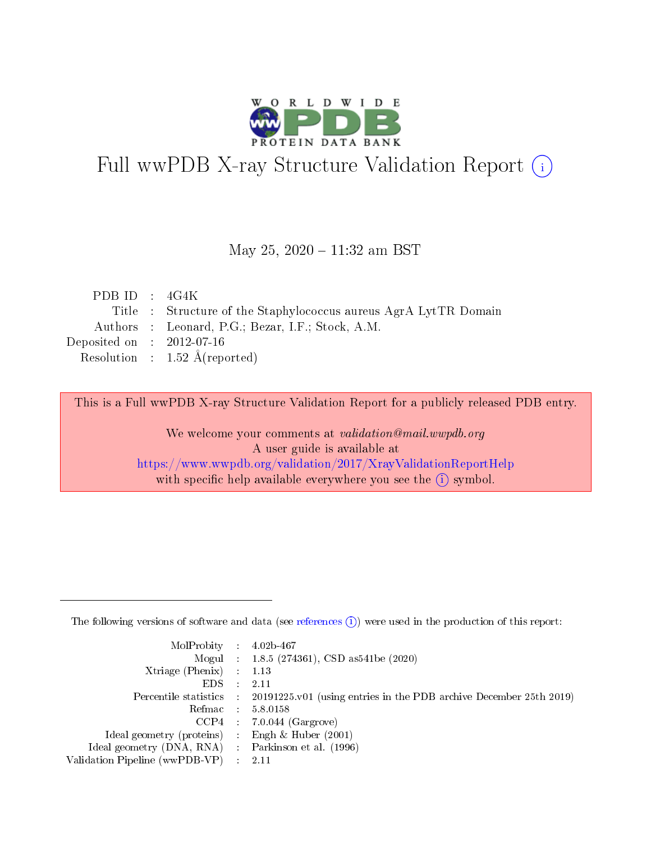

# Full wwPDB X-ray Structure Validation Report (i)

#### May 25, 2020 - 11:32 am BST

| PDB ID : $4G4K$             |                                                                  |
|-----------------------------|------------------------------------------------------------------|
|                             | Title : Structure of the Staphylococcus aureus AgrA LytTR Domain |
|                             | Authors : Leonard, P.G.; Bezar, I.F.; Stock, A.M.                |
| Deposited on : $2012-07-16$ |                                                                  |
|                             | Resolution : $1.52 \text{ Å}$ (reported)                         |
|                             |                                                                  |

This is a Full wwPDB X-ray Structure Validation Report for a publicly released PDB entry.

We welcome your comments at validation@mail.wwpdb.org A user guide is available at <https://www.wwpdb.org/validation/2017/XrayValidationReportHelp> with specific help available everywhere you see the  $(i)$  symbol.

The following versions of software and data (see [references](https://www.wwpdb.org/validation/2017/XrayValidationReportHelp#references)  $(1)$ ) were used in the production of this report:

| MolProbity : $4.02b-467$                            |                                                                                            |
|-----------------------------------------------------|--------------------------------------------------------------------------------------------|
|                                                     | Mogul : $1.8.5$ (274361), CSD as 541be (2020)                                              |
| $Xtriangle (Phenix)$ : 1.13                         |                                                                                            |
| $EDS$ :                                             | -2.11                                                                                      |
|                                                     | Percentile statistics : 20191225.v01 (using entries in the PDB archive December 25th 2019) |
| Refmac : 5.8.0158                                   |                                                                                            |
|                                                     | $CCP4$ 7.0.044 (Gargrove)                                                                  |
| Ideal geometry (proteins) : Engh $\&$ Huber (2001)  |                                                                                            |
| Ideal geometry (DNA, RNA) : Parkinson et al. (1996) |                                                                                            |
| Validation Pipeline (wwPDB-VP) : 2.11               |                                                                                            |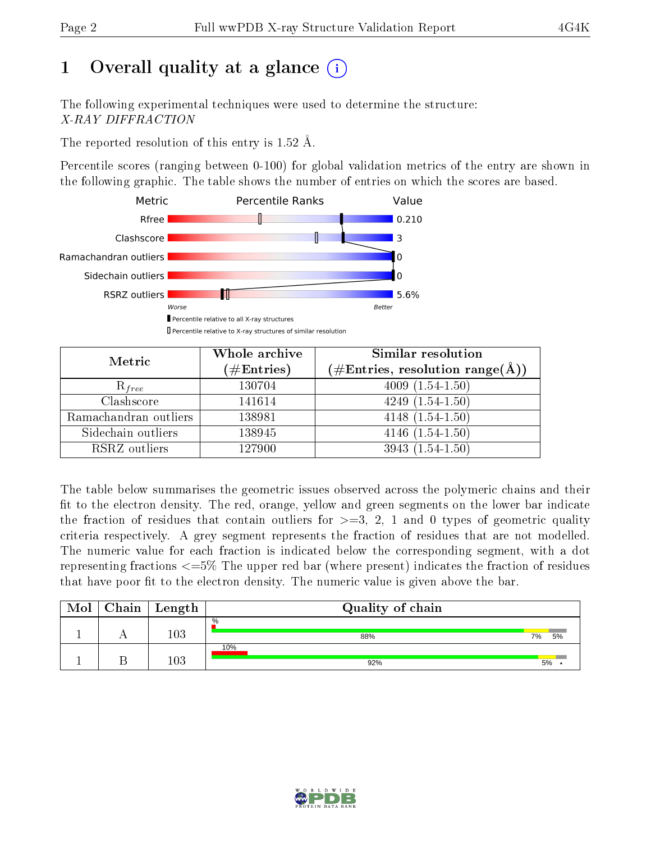# 1 [O](https://www.wwpdb.org/validation/2017/XrayValidationReportHelp#overall_quality)verall quality at a glance  $(i)$

The following experimental techniques were used to determine the structure: X-RAY DIFFRACTION

The reported resolution of this entry is 1.52 Å.

Percentile scores (ranging between 0-100) for global validation metrics of the entry are shown in the following graphic. The table shows the number of entries on which the scores are based.



| Metric                | Whole archive<br>$(\#Entries)$ | Similar resolution<br>$(\#\text{Entries}, \text{resolution range}(\text{\AA}))$ |  |  |
|-----------------------|--------------------------------|---------------------------------------------------------------------------------|--|--|
| $R_{free}$            | 130704                         | $4009(1.54-1.50)$                                                               |  |  |
| Clashscore            | 141614                         | $4249(1.54-1.50)$                                                               |  |  |
| Ramachandran outliers | 138981                         | $4148(1.54-1.50)$                                                               |  |  |
| Sidechain outliers    | 138945                         | $4146(1.54-1.50)$                                                               |  |  |
| RSRZ outliers         | 127900                         | $3943(1.54-1.50)$                                                               |  |  |

The table below summarises the geometric issues observed across the polymeric chains and their fit to the electron density. The red, orange, yellow and green segments on the lower bar indicate the fraction of residues that contain outliers for  $>=3, 2, 1$  and 0 types of geometric quality criteria respectively. A grey segment represents the fraction of residues that are not modelled. The numeric value for each fraction is indicated below the corresponding segment, with a dot representing fractions  $\epsilon=5\%$  The upper red bar (where present) indicates the fraction of residues that have poor fit to the electron density. The numeric value is given above the bar.

| Mol | ${\rm Chain \mid Length}$ | Quality of chain |    |    |  |  |  |
|-----|---------------------------|------------------|----|----|--|--|--|
|     | $103\,$                   | $\%$<br>88%      | 7% | 5% |  |  |  |
|     | 103                       | 10%<br>92%       | 5% |    |  |  |  |

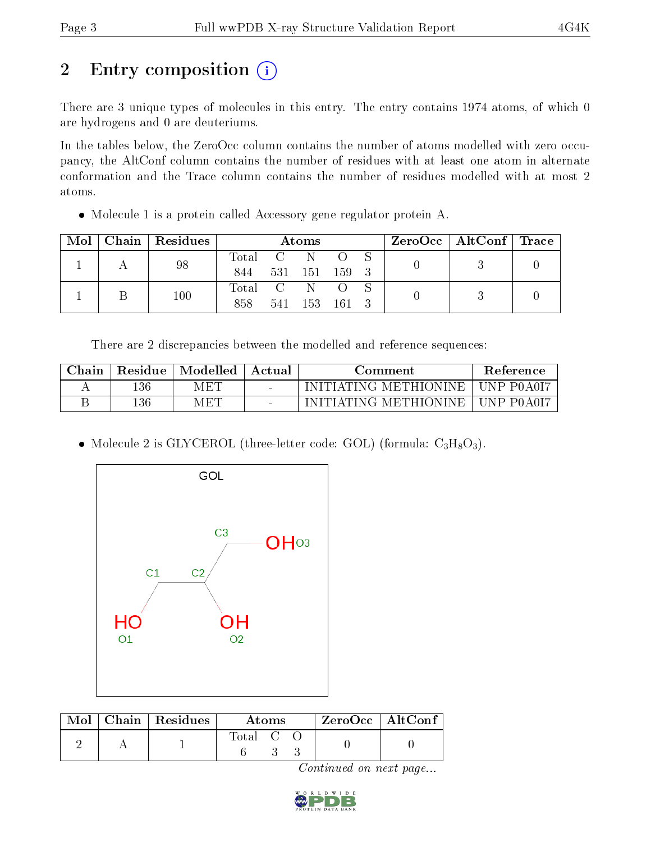# 2 Entry composition (i)

There are 3 unique types of molecules in this entry. The entry contains 1974 atoms, of which 0 are hydrogens and 0 are deuteriums.

In the tables below, the ZeroOcc column contains the number of atoms modelled with zero occupancy, the AltConf column contains the number of residues with at least one atom in alternate conformation and the Trace column contains the number of residues modelled with at most 2 atoms.

Molecule 1 is a protein called Accessory gene regulator protein A.

| Mol |  | Chain   Residues | Atoms     |               |               |  |  | $\rm ZeroOcc \mid AltConf \mid Trace$ |  |
|-----|--|------------------|-----------|---------------|---------------|--|--|---------------------------------------|--|
|     |  | 98               | Total C   |               | - N           |  |  |                                       |  |
|     |  | 844              |           | 531 151 159 3 |               |  |  |                                       |  |
|     |  | 100              | Total C N |               |               |  |  |                                       |  |
|     |  |                  | 858       |               | 541 153 161 3 |  |  |                                       |  |

There are 2 discrepancies between the modelled and reference sequences:

| Chain | Residue  | Modelled | Actual | Comment                            | <b>Reference</b> |
|-------|----------|----------|--------|------------------------------------|------------------|
|       | $136\,$  | MET      |        | INITIATING METHIONINE   UNP P0A0I7 |                  |
|       | $^{136}$ | MET      |        | INITIATING METHIONINE   UNP P0A0I7 |                  |

• Molecule 2 is GLYCEROL (three-letter code: GOL) (formula:  $C_3H_8O_3$ ).



|  | $\text{Mol}$   Chain   Residues | Atoms                                                    |  | $ZeroOcc \   \ AltConf$ |  |  |
|--|---------------------------------|----------------------------------------------------------|--|-------------------------|--|--|
|  |                                 | $\begin{array}{ccc} \text{Total} & \text{C} \end{array}$ |  |                         |  |  |

Continued on next page...

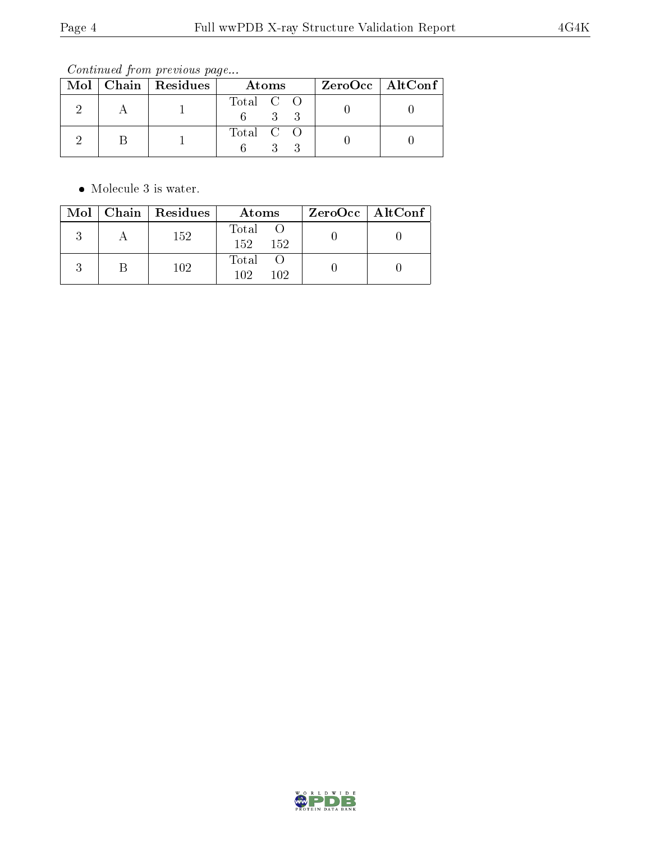Continued from previous page...

|  | Mol   Chain   Residues | Atoms     | $ZeroOcc \   \ AltConf$ |  |
|--|------------------------|-----------|-------------------------|--|
|  |                        | Total C O |                         |  |
|  |                        | Total C O |                         |  |

 $\bullet\,$  Molecule 3 is water.

|  | Mol   Chain   Residues | Atoms                      | $ZeroOcc \mid AltConf \mid$ |
|--|------------------------|----------------------------|-----------------------------|
|  | 152                    | Total O<br>$152 -$<br>-152 |                             |
|  | 102                    | Total O<br>102<br>102      |                             |

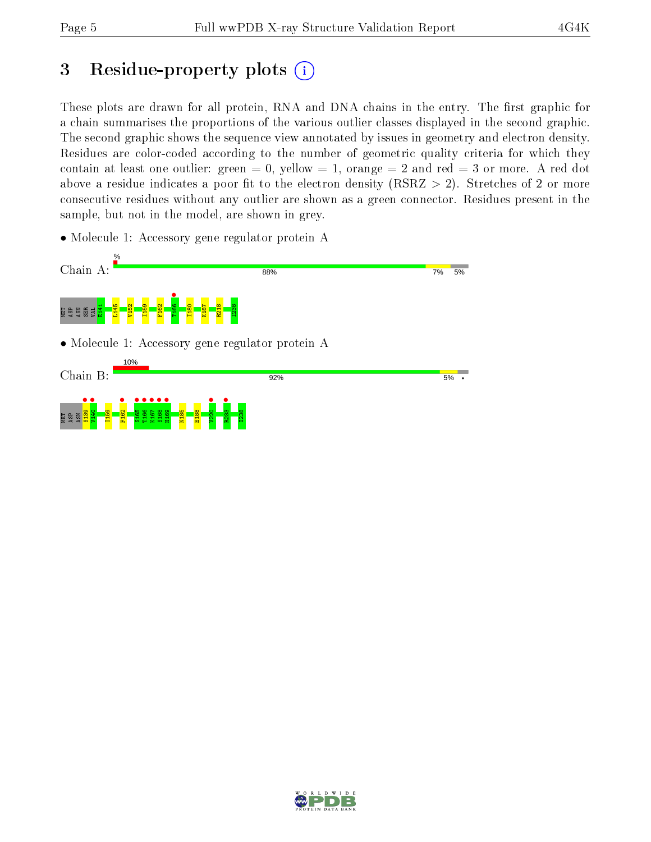## 3 Residue-property plots  $(i)$

These plots are drawn for all protein, RNA and DNA chains in the entry. The first graphic for a chain summarises the proportions of the various outlier classes displayed in the second graphic. The second graphic shows the sequence view annotated by issues in geometry and electron density. Residues are color-coded according to the number of geometric quality criteria for which they contain at least one outlier: green  $= 0$ , yellow  $= 1$ , orange  $= 2$  and red  $= 3$  or more. A red dot above a residue indicates a poor fit to the electron density (RSRZ  $> 2$ ). Stretches of 2 or more consecutive residues without any outlier are shown as a green connector. Residues present in the sample, but not in the model, are shown in grey.

• Molecule 1: Accessory gene regulator protein A



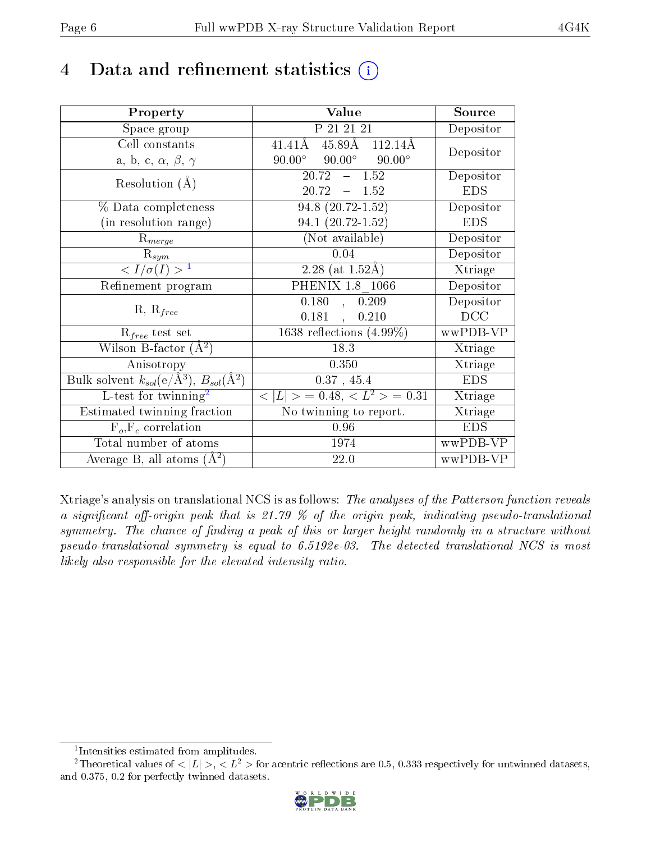## 4 Data and refinement statistics  $(i)$

| Property                                                   | Value                                             | Source                       |
|------------------------------------------------------------|---------------------------------------------------|------------------------------|
| Space group                                                | P 21 21 21                                        | Depositor                    |
| Cell constants                                             | $45.89$ Å<br>$41.41\text{\AA}$<br>112.14Å         | Depositor                    |
| a, b, c, $\alpha$ , $\beta$ , $\gamma$                     | $90.00^\circ$<br>$90.00^{\circ}$<br>$90.00^\circ$ |                              |
| Resolution $(A)$                                           | $-1.52$<br>20.72                                  | Depositor                    |
|                                                            | $20.72 - 1.52$                                    | <b>EDS</b>                   |
| % Data completeness                                        | $94.8$ $(20.72 - 1.52)$                           | Depositor                    |
| (in resolution range)                                      | $94.1(20.72 - 1.52)$                              | <b>EDS</b>                   |
| $R_{merge}$                                                | (Not available)                                   | Depositor                    |
| $\mathrm{R}_{sym}$                                         | 0.04                                              | Depositor                    |
| $\sqrt{I/\sigma}(I) > 1$                                   | 2.28 (at $1.52\text{\AA}$ )                       | Xtriage                      |
| Refinement program                                         | PHENIX 1.8 1066                                   | Depositor                    |
|                                                            | 0.180<br>, 0.209                                  | Depositor                    |
| $R, R_{free}$                                              | $0.181$ ,<br>0.210                                | DCC                          |
| $\mathcal{R}_{free}$ test set                              | 1638 reflections $(4.99\%)$                       | wwPDB-VP                     |
| Wilson B-factor $(A^2)$                                    | 18.3                                              | Xtriage                      |
| Anisotropy                                                 | 0.350                                             | Xtriage                      |
| Bulk solvent $k_{sol}$ (e/Å <sup>3</sup> ), $B_{sol}(A^2)$ | $0.37$ , 45.4                                     | <b>EDS</b>                   |
| $L$ -test for twinning <sup>2</sup>                        | $< L >$ = 0.48, $< L^2 >$ = 0.31                  | Xtriage                      |
| Estimated twinning fraction                                | No twinning to report.                            | $\overline{\text{X}}$ triage |
| $\overline{F_o}, \overline{F_c}$ correlation               | 0.96                                              | <b>EDS</b>                   |
| Total number of atoms                                      | 1974                                              | wwPDB-VP                     |
| Average B, all atoms $(A^2)$                               | 22.0                                              | wwPDB-VP                     |

Xtriage's analysis on translational NCS is as follows: The analyses of the Patterson function reveals a significant off-origin peak that is 21.79  $\%$  of the origin peak, indicating pseudo-translational symmetry. The chance of finding a peak of this or larger height randomly in a structure without pseudo-translational symmetry is equal to 6.5192e-03. The detected translational NCS is most likely also responsible for the elevated intensity ratio.

<sup>&</sup>lt;sup>2</sup>Theoretical values of  $\langle |L| \rangle$ ,  $\langle L^2 \rangle$  for acentric reflections are 0.5, 0.333 respectively for untwinned datasets, and 0.375, 0.2 for perfectly twinned datasets.



<span id="page-5-1"></span><span id="page-5-0"></span><sup>1</sup> Intensities estimated from amplitudes.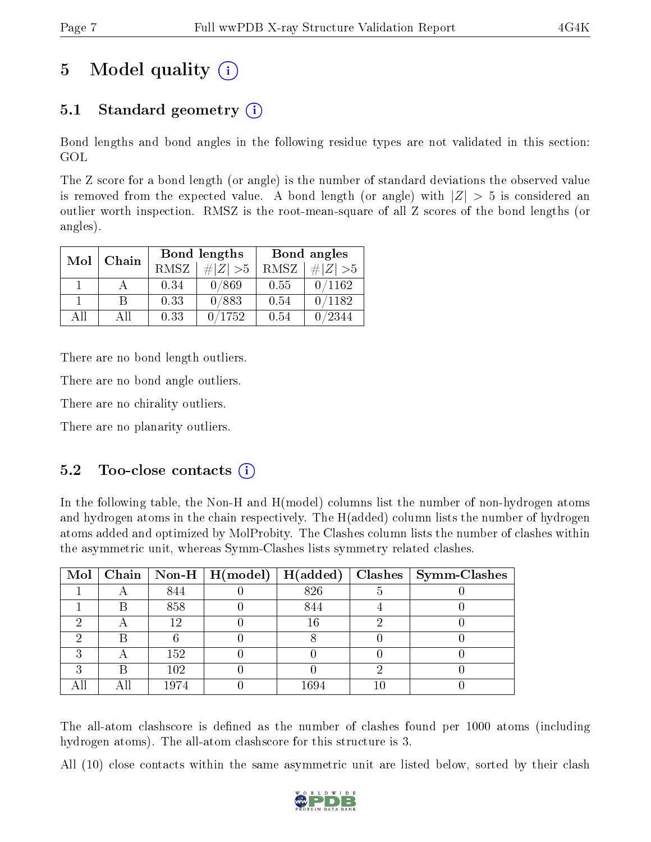# 5 Model quality  $(i)$

## 5.1 Standard geometry (i)

Bond lengths and bond angles in the following residue types are not validated in this section: GOL

The Z score for a bond length (or angle) is the number of standard deviations the observed value is removed from the expected value. A bond length (or angle) with  $|Z| > 5$  is considered an outlier worth inspection. RMSZ is the root-mean-square of all Z scores of the bond lengths (or angles).

| Mol | Chain |      | <b>Bond lengths</b> | Bond angles |             |  |
|-----|-------|------|---------------------|-------------|-------------|--|
|     |       | RMSZ | $\# Z  > 5$         | RMSZ        | $\ Z\  > 5$ |  |
|     |       | 0.34 | 0/869               | 0.55        | 0/1162      |  |
|     | R     | 0.33 | 0/883               | 0.54        | 0/1182      |  |
| AΠ  | A 11  | 0.33 | 0/1752              | 0.54        | /2344       |  |

There are no bond length outliers.

There are no bond angle outliers.

There are no chirality outliers.

There are no planarity outliers.

### $5.2$  Too-close contacts  $(i)$

In the following table, the Non-H and H(model) columns list the number of non-hydrogen atoms and hydrogen atoms in the chain respectively. The H(added) column lists the number of hydrogen atoms added and optimized by MolProbity. The Clashes column lists the number of clashes within the asymmetric unit, whereas Symm-Clashes lists symmetry related clashes.

|   |   |      | Mol   Chain   Non-H   H(model)   H(added) |          |    | $\vert$ Clashes $\vert$ Symm-Clashes |
|---|---|------|-------------------------------------------|----------|----|--------------------------------------|
|   |   | 844  |                                           | 826      | Ð  |                                      |
|   |   | 858  |                                           | 844      |    |                                      |
|   |   | 12   |                                           | 16       |    |                                      |
|   |   |      |                                           |          |    |                                      |
| ົ |   | 152  |                                           |          |    |                                      |
| ച | R | 102  |                                           |          |    |                                      |
|   |   | 1974 |                                           | $1694\,$ | 10 |                                      |

The all-atom clashscore is defined as the number of clashes found per 1000 atoms (including hydrogen atoms). The all-atom clashscore for this structure is 3.

All (10) close contacts within the same asymmetric unit are listed below, sorted by their clash

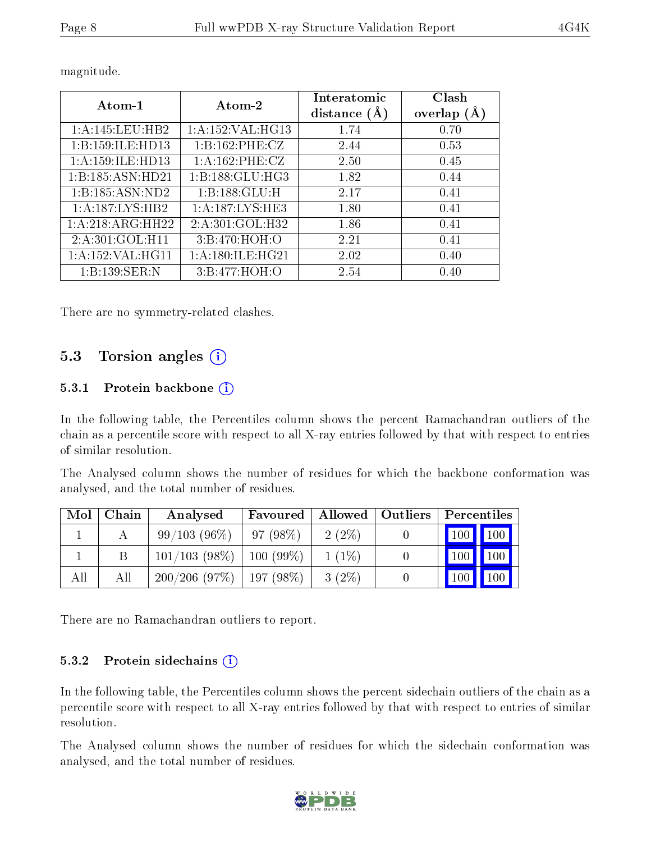| Atom-1               | Atom-2               | Interatomic<br>distance $(A)$ | Clash<br>overlap $(A)$ |  |
|----------------------|----------------------|-------------------------------|------------------------|--|
| 1:A:145:LEU:HB2      | 1: A: 152: VAL: HG13 | 1.74                          | 0.70                   |  |
| 1:B:159:ILE:HD13     | 1:B:162:PHE:CZ       | 2.44                          | 0.53                   |  |
| 1: A:159: ILE: HD13  | 1: A: 162: PHE: CZ   | 2.50                          | 0.45                   |  |
| 1:B:185:ASN:HD21     | 1: B: 188: GLU: HG3  | 1.82                          | 0.44                   |  |
| 1:B:185:ASN:ND2      | 1:B:188:GLU:H        | 2.17                          | 0.41                   |  |
| 1: A: 187: LYS: HB2  | 1:A:187:LYS:HE3      | 1.80                          | 0.41                   |  |
| 1:A:218:ARG:HH22     | 2:A:301:GOL:H32      | 1.86                          | 0.41                   |  |
| 2:A:301:GOL:H11      | 3:B:470:HOH:O        | 2.21                          | 0.41                   |  |
| 1: A: 152: VAL: HG11 | 1: A:180: ILE: HG21  | 2.02                          | 0.40                   |  |
| 1:B:139:SER:N        | 3:B:477:HOH:O        | 2.54                          | 0.40                   |  |

magnitude.

There are no symmetry-related clashes.

### 5.3 Torsion angles (i)

#### 5.3.1 Protein backbone (i)

In the following table, the Percentiles column shows the percent Ramachandran outliers of the chain as a percentile score with respect to all X-ray entries followed by that with respect to entries of similar resolution.

The Analysed column shows the number of residues for which the backbone conformation was analysed, and the total number of residues.

| Mol | Chain | Analysed        | Favoured    | Allowed   Outliers | Percentiles         |                    |
|-----|-------|-----------------|-------------|--------------------|---------------------|--------------------|
|     |       | 99/103(96%)     | 97(98%)     | $2(2\%)$           | $\vert$ 100 $\vert$ | $\blacksquare$ 100 |
|     |       | $101/103(98\%)$ | $100(99\%)$ | $1(1\%)$           | 100                 | 100                |
| All | All   | 200/206(97%)    | $197(98\%)$ | $3(2\%)$           | 100                 | 100                |

There are no Ramachandran outliers to report.

#### 5.3.2 Protein sidechains  $(i)$

In the following table, the Percentiles column shows the percent sidechain outliers of the chain as a percentile score with respect to all X-ray entries followed by that with respect to entries of similar resolution.

The Analysed column shows the number of residues for which the sidechain conformation was analysed, and the total number of residues.

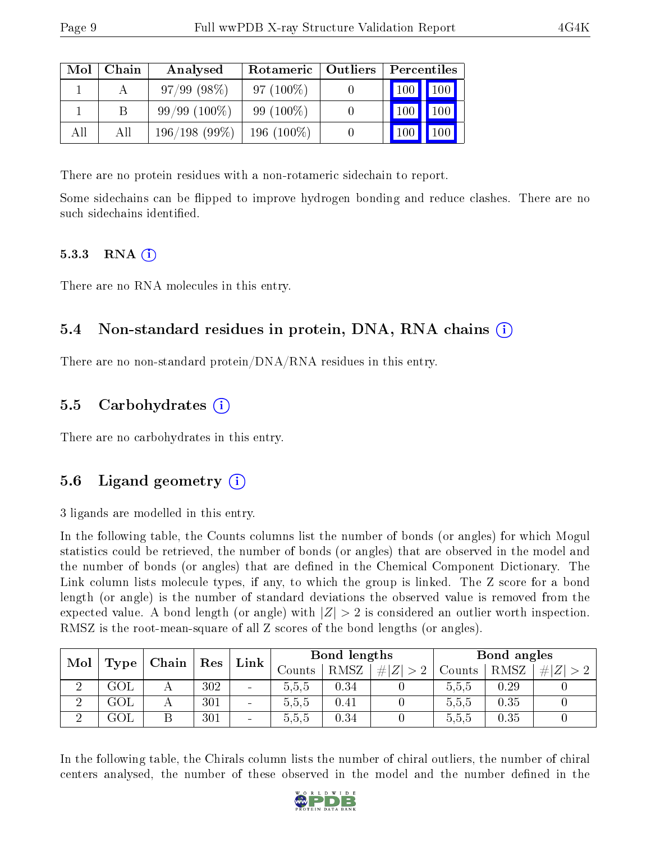| Mol | Chain | Analysed       | Rotameric   Outliers | Percentiles   |                  |  |
|-----|-------|----------------|----------------------|---------------|------------------|--|
|     |       | $97/99(98\%)$  | $97(100\%)$          | $\boxed{100}$ | 100 <sub>1</sub> |  |
|     |       | $99/99(100\%)$ | 99 $(100\%)$         |               | 100              |  |
| All | All   | 196/198(99%)   | $196(100\%)$         |               |                  |  |

There are no protein residues with a non-rotameric sidechain to report.

Some sidechains can be flipped to improve hydrogen bonding and reduce clashes. There are no such sidechains identified.

#### 5.3.3 RNA  $(i)$

There are no RNA molecules in this entry.

### 5.4 Non-standard residues in protein, DNA, RNA chains (i)

There are no non-standard protein/DNA/RNA residues in this entry.

### 5.5 Carbohydrates (i)

There are no carbohydrates in this entry.

### 5.6 Ligand geometry  $(i)$

3 ligands are modelled in this entry.

In the following table, the Counts columns list the number of bonds (or angles) for which Mogul statistics could be retrieved, the number of bonds (or angles) that are observed in the model and the number of bonds (or angles) that are defined in the Chemical Component Dictionary. The Link column lists molecule types, if any, to which the group is linked. The Z score for a bond length (or angle) is the number of standard deviations the observed value is removed from the expected value. A bond length (or angle) with  $|Z| > 2$  is considered an outlier worth inspection. RMSZ is the root-mean-square of all Z scores of the bond lengths (or angles).

| Mol |     |                                        |     |                          |         |      |         |        |      |   |  |  | $\mid$ Res | Link |  | Bond lengths |  |  | Bond angles |  |  |
|-----|-----|----------------------------------------|-----|--------------------------|---------|------|---------|--------|------|---|--|--|------------|------|--|--------------|--|--|-------------|--|--|
|     |     | $\perp$ Type $\parallel$ Chain $\perp$ |     |                          | Counts  | RMSZ | $\# Z $ | Counts | RMSZ | # |  |  |            |      |  |              |  |  |             |  |  |
|     | GOL |                                        | 302 | $\blacksquare$           | 5.5.5   | 0.34 |         | 0.5.5  | 0.29 |   |  |  |            |      |  |              |  |  |             |  |  |
| ച   | GOL |                                        | 301 | $\overline{\phantom{a}}$ | 5, 5, 5 | 0.41 |         | 5.5.5  | 0.35 |   |  |  |            |      |  |              |  |  |             |  |  |
| ച   | ЗOГ |                                        | 301 | $\sim$                   | 5.5.5   | 0.34 |         | 5.5.5  | 0.35 |   |  |  |            |      |  |              |  |  |             |  |  |

In the following table, the Chirals column lists the number of chiral outliers, the number of chiral centers analysed, the number of these observed in the model and the number defined in the

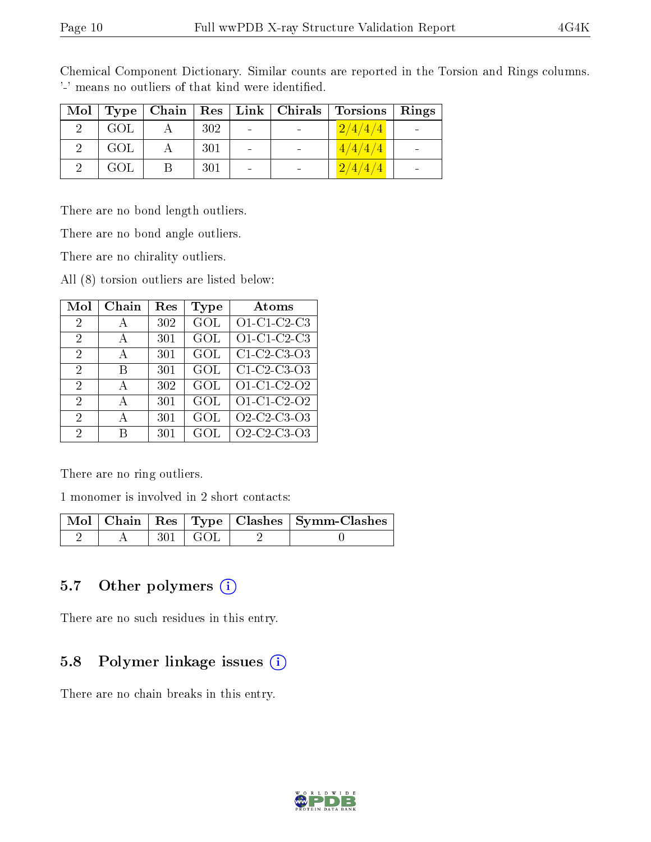|     |     |                              | Mol   Type   Chain   Res   Link   Chirals   Torsions | Rings |
|-----|-----|------------------------------|------------------------------------------------------|-------|
| GOL | 302 | $\qquad \qquad \blacksquare$ | 2/4/4/4                                              |       |
| GOL | 301 |                              | 4/4/4/4                                              |       |
| GOL | 301 | $\qquad \qquad$              | 2/4/4/4                                              |       |

Chemical Component Dictionary. Similar counts are reported in the Torsion and Rings columns. '-' means no outliers of that kind were identified.

There are no bond length outliers.

There are no bond angle outliers.

There are no chirality outliers.

All (8) torsion outliers are listed below:

| Mol            | Chain        | Res | Type | Atoms                                                          |
|----------------|--------------|-----|------|----------------------------------------------------------------|
| $\overline{2}$ | А            | 302 | GOL  | O1-C1-C2-C3                                                    |
| $\overline{2}$ | $\mathbf{A}$ | 301 | GOL  | O1-C1-C2-C3                                                    |
| $\overline{2}$ | $\mathbf{A}$ | 301 | GOL  | $\overline{C1}$ C <sub>2</sub> -C <sub>3</sub> -O <sub>3</sub> |
| 2              | В            | 301 | GOL  | C1 C2 C3 O3                                                    |
| 2              | A            | 302 | GOL  | $01-C1-C2-02$                                                  |
| 2              | A            | 301 | GOL  | O1-C1-C2-O2                                                    |
| 2              | A            | 301 | GOL  | O <sub>2</sub> -C <sub>2</sub> -C <sub>3</sub> -O <sub>3</sub> |
| 2              | R            | 301 | GOL  | O <sub>2</sub> -C <sub>2</sub> -C <sub>3</sub> -O <sub>3</sub> |

There are no ring outliers.

1 monomer is involved in 2 short contacts:

|  |               | Mol   Chain   Res   Type   Clashes   Symm-Clashes |
|--|---------------|---------------------------------------------------|
|  | $301 \pm GOL$ |                                                   |

#### 5.7 [O](https://www.wwpdb.org/validation/2017/XrayValidationReportHelp#nonstandard_residues_and_ligands)ther polymers  $(i)$

There are no such residues in this entry.

#### 5.8 Polymer linkage issues (i)

There are no chain breaks in this entry.

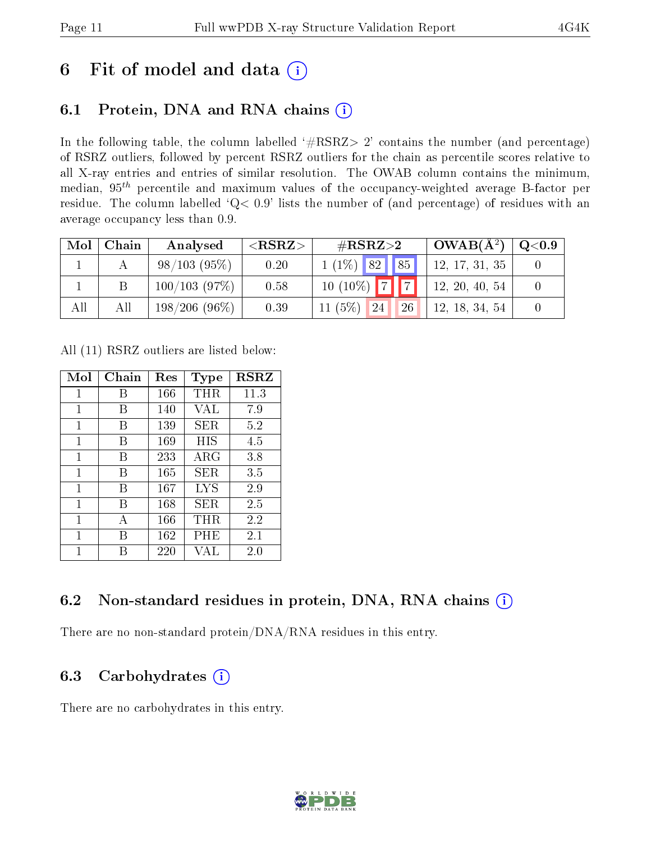## 6 Fit of model and data  $(i)$

## 6.1 Protein, DNA and RNA chains  $(i)$

In the following table, the column labelled  $#RSRZ> 2'$  contains the number (and percentage) of RSRZ outliers, followed by percent RSRZ outliers for the chain as percentile scores relative to all X-ray entries and entries of similar resolution. The OWAB column contains the minimum, median,  $95<sup>th</sup>$  percentile and maximum values of the occupancy-weighted average B-factor per residue. The column labelled ' $Q< 0.9$ ' lists the number of (and percentage) of residues with an average occupancy less than 0.9.

| Mol | Chain | Analysed        | ${ <\hspace{-1.5pt}{\mathrm{RSRZ}} \hspace{-1.5pt}>}$ | $\rm \#RSRZ{>}2$      | $\sim$ OWAB( $\rm A^2)$ | $\mathrm{Q}{<}0.9$ |
|-----|-------|-----------------|-------------------------------------------------------|-----------------------|-------------------------|--------------------|
|     |       | 98/103(95%)     | 0.20                                                  | $1(1\%)$ 82 85        | 12, 17, 31, 35          |                    |
|     |       | 100/103(97%)    | 0.58                                                  | $10(10\%)$ 7 7        | 12, 20, 40, 54          |                    |
| All | All   | $198/206(96\%)$ | 0.39                                                  | 11 $(5%)$<br>26<br>24 | 12, 18, 34, 54          |                    |

All (11) RSRZ outliers are listed below:

| Mol | Chain | $\operatorname{Res}% \left( \mathcal{N}\right) \equiv\operatorname{Res}(\mathcal{N}_{0})\cap\mathcal{N}_{1}$ | Type        | <b>RSRZ</b> |
|-----|-------|--------------------------------------------------------------------------------------------------------------|-------------|-------------|
| 1   | В     | 166                                                                                                          | THR         | 11.3        |
| 1   | В     | 140                                                                                                          | VAL         | 7.9         |
| 1   | В     | 139                                                                                                          | SER         | 5.2         |
| 1   | В     | 169                                                                                                          | HIS         | 4.5         |
| 1   | В     | 233                                                                                                          | ${\rm ARG}$ | 3.8         |
| 1   | В     | 165                                                                                                          | SER         | 3.5         |
| 1   | В     | 167                                                                                                          | LYS         | 2.9         |
| 1   | В     | 168                                                                                                          | SER.        | 2.5         |
| 1   | А     | 166                                                                                                          | THR         | 2.2         |
| 1   | R     | 162                                                                                                          | PHE         | 2.1         |
| 1   |       | 220                                                                                                          | VAL         | 2.0         |

### 6.2 Non-standard residues in protein, DNA, RNA chains  $(i)$

There are no non-standard protein/DNA/RNA residues in this entry.

### 6.3 Carbohydrates  $(i)$

There are no carbohydrates in this entry.